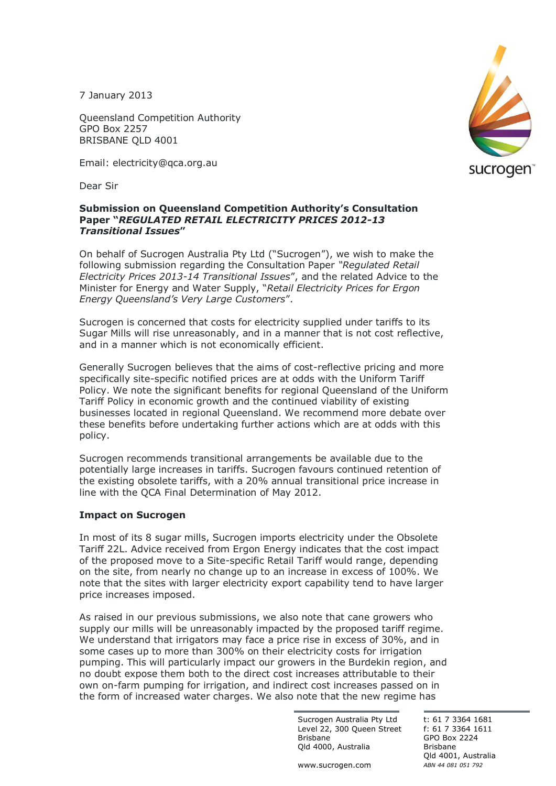7 January 2013

Queensland Competition Authority GPO Box 2257 BRISBANE QLD 4001

Email: electricity@qca.org.au

Dear Sir

# **Submission on Queensland Competition Authority's Consultation Paper "***REGULATED RETAIL ELECTRICITY PRICES 2012-13 Transitional Issues***"**

On behalf of Sucrogen Australia Pty Ltd ("Sucrogen"), we wish to make the following submission regarding the Consultation Paper *"Regulated Retail Electricity Prices 2013-14 Transitional Issues*", and the related Advice to the Minister for Energy and Water Supply, "*Retail Electricity Prices for Ergon Energy Queensland's Very Large Customers*".

Sucrogen is concerned that costs for electricity supplied under tariffs to its Sugar Mills will rise unreasonably, and in a manner that is not cost reflective, and in a manner which is not economically efficient.

Generally Sucrogen believes that the aims of cost-reflective pricing and more specifically site-specific notified prices are at odds with the Uniform Tariff Policy. We note the significant benefits for regional Queensland of the Uniform Tariff Policy in economic growth and the continued viability of existing businesses located in regional Queensland. We recommend more debate over these benefits before undertaking further actions which are at odds with this policy.

Sucrogen recommends transitional arrangements be available due to the potentially large increases in tariffs. Sucrogen favours continued retention of the existing obsolete tariffs, with a 20% annual transitional price increase in line with the QCA Final Determination of May 2012.

## **Impact on Sucrogen**

In most of its 8 sugar mills, Sucrogen imports electricity under the Obsolete Tariff 22L. Advice received from Ergon Energy indicates that the cost impact of the proposed move to a Site-specific Retail Tariff would range, depending on the site, from nearly no change up to an increase in excess of 100%. We note that the sites with larger electricity export capability tend to have larger price increases imposed.

As raised in our previous submissions, we also note that cane growers who supply our mills will be unreasonably impacted by the proposed tariff regime. We understand that irrigators may face a price rise in excess of 30%, and in some cases up to more than 300% on their electricity costs for irrigation pumping. This will particularly impact our growers in the Burdekin region, and no doubt expose them both to the direct cost increases attributable to their own on-farm pumping for irrigation, and indirect cost increases passed on in the form of increased water charges. We also note that the new regime has

> Sucrogen Australia Pty Ltd t: 61 7 3364 1681 Level 22, 300 Queen Street f: 61 7 3364 1611 Brisbane GPO Box 2224 Qld 4000, Australia Brisbane

Qld 4001, Australia



www.sucrogen.com *ABN 44 081 051 792*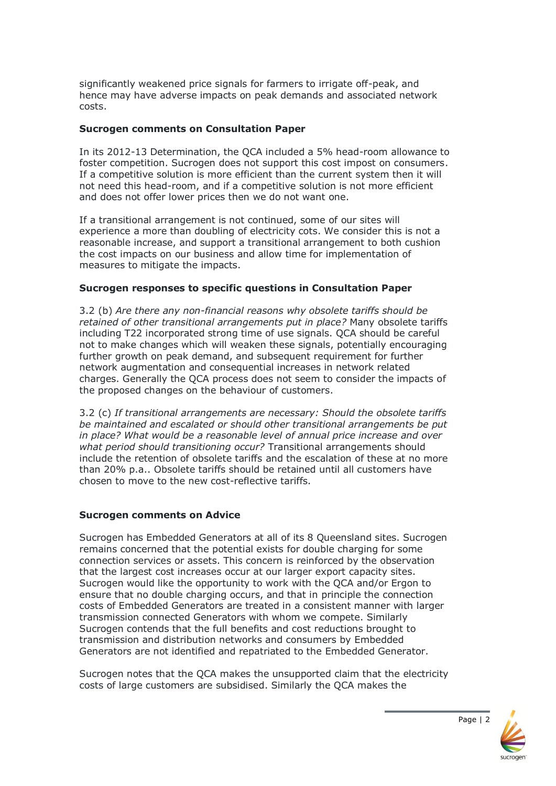significantly weakened price signals for farmers to irrigate off-peak, and hence may have adverse impacts on peak demands and associated network costs.

## **Sucrogen comments on Consultation Paper**

In its 2012-13 Determination, the QCA included a 5% head-room allowance to foster competition. Sucrogen does not support this cost impost on consumers. If a competitive solution is more efficient than the current system then it will not need this head-room, and if a competitive solution is not more efficient and does not offer lower prices then we do not want one.

If a transitional arrangement is not continued, some of our sites will experience a more than doubling of electricity cots. We consider this is not a reasonable increase, and support a transitional arrangement to both cushion the cost impacts on our business and allow time for implementation of measures to mitigate the impacts.

# **Sucrogen responses to specific questions in Consultation Paper**

3.2 (b) *Are there any non-financial reasons why obsolete tariffs should be retained of other transitional arrangements put in place?* Many obsolete tariffs including T22 incorporated strong time of use signals. QCA should be careful not to make changes which will weaken these signals, potentially encouraging further growth on peak demand, and subsequent requirement for further network augmentation and consequential increases in network related charges. Generally the QCA process does not seem to consider the impacts of the proposed changes on the behaviour of customers.

3.2 (c) *If transitional arrangements are necessary: Should the obsolete tariffs be maintained and escalated or should other transitional arrangements be put in place? What would be a reasonable level of annual price increase and over what period should transitioning occur?* Transitional arrangements should include the retention of obsolete tariffs and the escalation of these at no more than 20% p.a.. Obsolete tariffs should be retained until all customers have chosen to move to the new cost-reflective tariffs.

## **Sucrogen comments on Advice**

Sucrogen has Embedded Generators at all of its 8 Queensland sites. Sucrogen remains concerned that the potential exists for double charging for some connection services or assets. This concern is reinforced by the observation that the largest cost increases occur at our larger export capacity sites. Sucrogen would like the opportunity to work with the QCA and/or Ergon to ensure that no double charging occurs, and that in principle the connection costs of Embedded Generators are treated in a consistent manner with larger transmission connected Generators with whom we compete. Similarly Sucrogen contends that the full benefits and cost reductions brought to transmission and distribution networks and consumers by Embedded Generators are not identified and repatriated to the Embedded Generator.

Sucrogen notes that the QCA makes the unsupported claim that the electricity costs of large customers are subsidised. Similarly the QCA makes the